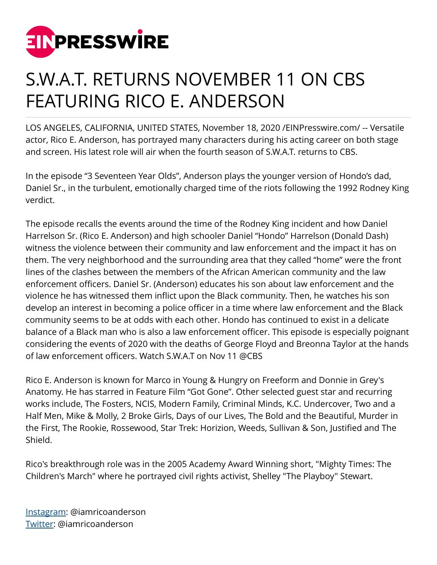

## S.W.A.T. RETURNS NOVEMBER 11 ON CBS FEATURING RICO E. ANDERSON

LOS ANGELES, CALIFORNIA, UNITED STATES, November 18, 2020 [/EINPresswire.com](http://www.einpresswire.com)/ -- Versatile actor, Rico E. Anderson, has portrayed many characters during his acting career on both stage and screen. His latest role will air when the fourth season of S.W.A.T. returns to CBS.

In the episode "3 Seventeen Year Olds", Anderson plays the younger version of Hondo's dad, Daniel Sr., in the turbulent, emotionally charged time of the riots following the 1992 Rodney King verdict.

The episode recalls the events around the time of the Rodney King incident and how Daniel Harrelson Sr. (Rico E. Anderson) and high schooler Daniel "Hondo" Harrelson (Donald Dash) witness the violence between their community and law enforcement and the impact it has on them. The very neighborhood and the surrounding area that they called "home" were the front lines of the clashes between the members of the African American community and the law enforcement officers. Daniel Sr. (Anderson) educates his son about law enforcement and the violence he has witnessed them inflict upon the Black community. Then, he watches his son develop an interest in becoming a police officer in a time where law enforcement and the Black community seems to be at odds with each other. Hondo has continued to exist in a delicate balance of a Black man who is also a law enforcement officer. This episode is especially poignant considering the events of 2020 with the deaths of George Floyd and Breonna Taylor at the hands of law enforcement officers. Watch S.W.A.T on Nov 11 @CBS

Rico E. Anderson is known for Marco in Young & Hungry on Freeform and Donnie in Grey's Anatomy. He has starred in Feature Film "Got Gone". Other selected guest star and recurring works include, The Fosters, NCIS, Modern Family, Criminal Minds, K.C. Undercover, Two and a Half Men, Mike & Molly, 2 Broke Girls, Days of our Lives, The Bold and the Beautiful, Murder in the First, The Rookie, Rossewood, Star Trek: Horizion, Weeds, Sullivan & Son, Justified and The Shield.

Rico's breakthrough role was in the 2005 Academy Award Winning short, "Mighty Times: The Children's March" where he portrayed civil rights activist, Shelley "The Playboy" Stewart.

[Instagram](https://www.instagram.com/iamricoanderson): @iamricoanderson [Twitter:](http://www.twitter.com/iamricoanderson) @iamricoanderson